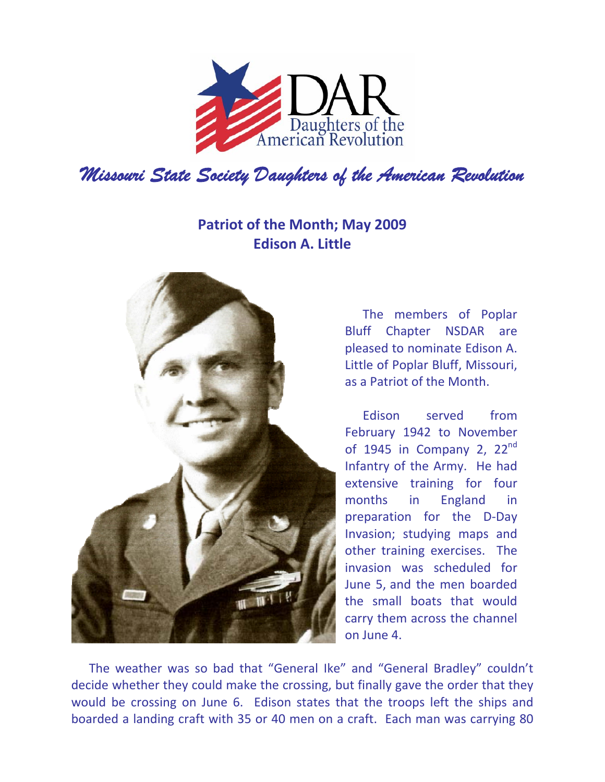

## **Patriot of the Month; May 2009 Edison A. Little**



The members of Poplar Bluff Chapter NSDAR are pleased to nominate Edison A. Little of Poplar Bluff, Missouri, as a Patriot of the Month.

Edison served from February 1942 to November of 1945 in Company 2,  $22<sup>nd</sup>$ Infantry of the Army. He had extensive training for four months in England in preparation for the D‐Day Invasion; studying maps and other training exercises. The invasion was scheduled for June 5, and the men boarded the small boats that would carry them across the channel on June 4.

The weather was so bad that "General Ike" and "General Bradley" couldn't decide whether they could make the crossing, but finally gave the order that they would be crossing on June 6. Edison states that the troops left the ships and boarded a landing craft with 35 or 40 men on a craft. Each man was carrying 80